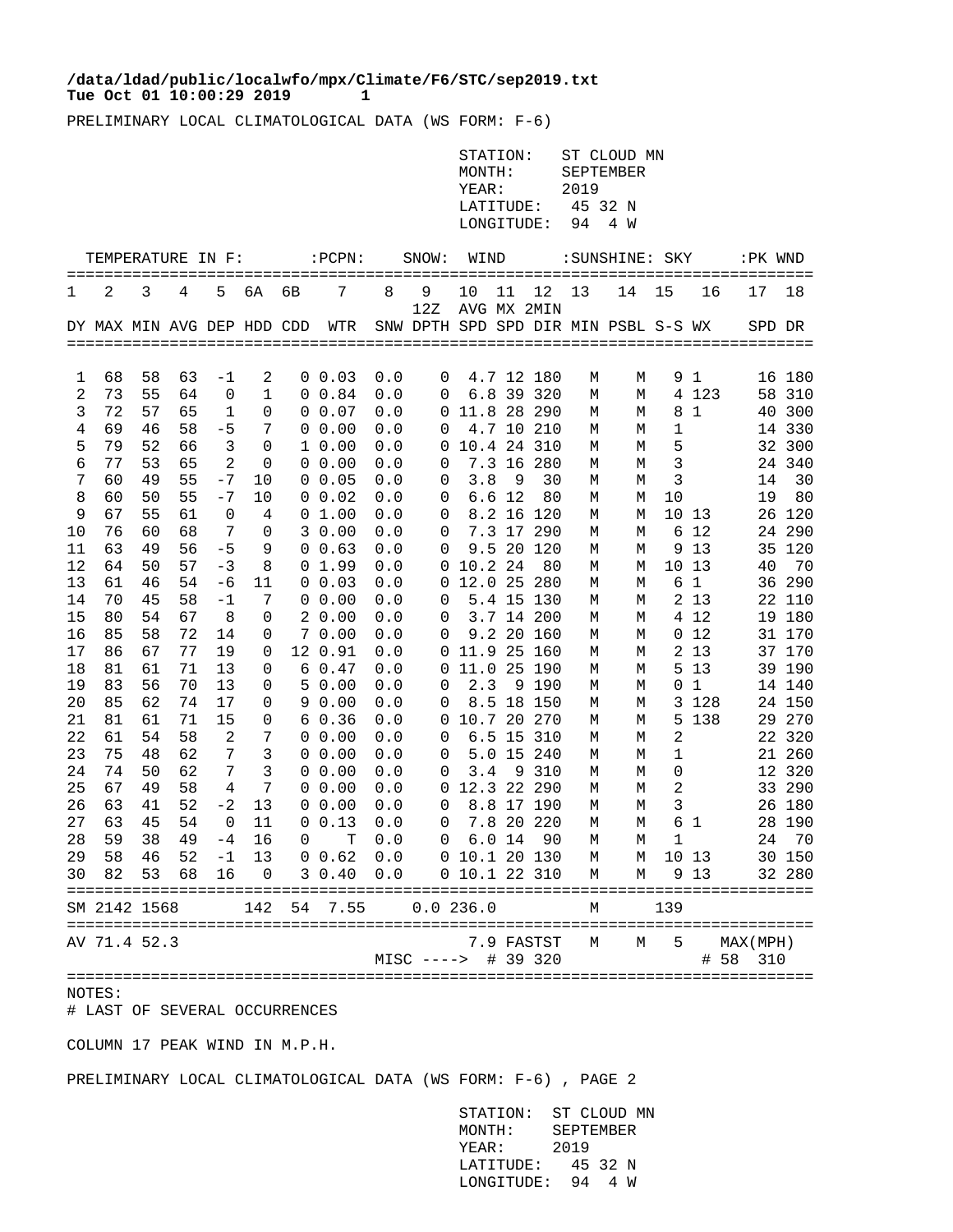## **Tue Oct 01 10:00:29 2019 1 /data/ldad/public/localwfo/mpx/Climate/F6/STC/sep2019.txt**

PRELIMINARY LOCAL CLIMATOLOGICAL DATA (WS FORM: F-6)

|          |                                             |          |          |          |                |        |                             |              |                                        | MONTH:<br>YEAR:<br>LATITUDE:<br>LONGITUDE: | STATION: |            | 2019<br>94 | ST CLOUD MN<br>SEPTEMBER<br>45 32 N<br>4 W |                  |                       |                      |                  |
|----------|---------------------------------------------|----------|----------|----------|----------------|--------|-----------------------------|--------------|----------------------------------------|--------------------------------------------|----------|------------|------------|--------------------------------------------|------------------|-----------------------|----------------------|------------------|
|          | TEMPERATURE IN F:                           |          | $=$ $=$  |          |                |        | $:$ $PCPN:$                 |              | SNOW:                                  | WIND<br>================                   |          |            | ====       | :SUNSHINE: SKY                             |                  |                       | :PK WND<br>========  |                  |
| ===<br>1 | 2                                           | 3        | 4        | 5        | 6A             | 6В     | ==================<br>7     | 8            | 9<br>12Z                               | 10<br>AVG MX 2MIN                          | 11       | 12         | 13         | 14                                         | ==========<br>15 | 16                    | 17                   | 18               |
|          | DY MAX MIN AVG DEP HDD CDD                  |          |          |          |                |        | WTR                         |              | SNW DPTH SPD SPD DIR MIN PSBL S-S WX   |                                            |          |            |            |                                            |                  |                       | SPD DR               |                  |
| 1        | 68                                          | 58       | 63       | -1       | 2              |        | $0\;\;0.03$                 | 0.0          | 0                                      |                                            |          | 4.7 12 180 | М          | М                                          |                  | 9 <sub>1</sub>        |                      | 16 180           |
| 2        | 73                                          | 55       | 64       | 0        | 1              | 0      | 0.84                        | 0.0          | 0                                      |                                            | 6.8 39   | 320        | М          | М                                          |                  | 4 123                 |                      | 58 310           |
| 3        | 72                                          | 57       | 65       | 1        | 0              | 0      | 0.07                        | 0.0          | 0                                      | 11.8 28                                    |          | 290        | М          | М                                          | 8                | $\mathbf{1}$          | 40                   | 300              |
| 4        | 69                                          | 46       | 58       | $-5$     | 7              | 0      | 0.00                        | 0.0          | 0                                      |                                            |          | 4.7 10 210 | М          | М                                          | 1                |                       |                      | 14 330           |
| 5        | 79<br>77                                    | 52<br>53 | 66<br>65 | 3<br>2   | 0              |        | 10.00<br>0.00               | 0.0<br>0.0   | 0                                      | 10.4 24 310                                | 7.3 16   | 280        | М          | М                                          | 5                |                       | 32                   | 300<br>24 340    |
| 6<br>7   | 60                                          | 49       | 55       | $-7$     | 0<br>10        | 0<br>0 | 0.05                        | 0.0          | 0<br>0                                 | 3.8                                        | 9        | 30         | М<br>М     | М<br>М                                     | 3<br>3           |                       | 14                   | 30               |
| 8        | 60                                          | 50       | 55       | $-7$     | 10             | 0      | 0.02                        | 0.0          | 0                                      |                                            | 6.6 12   | 80         | М          | М                                          | 10               |                       | 19                   | 80               |
| 9        | 67                                          | 55       | 61       | 0        | 4              | 0      | 1.00                        | 0.0          | 0                                      |                                            | 8.2 16   | 120        | М          | М                                          |                  | 10 13                 |                      | 26 120           |
| 10       | 76                                          | 60       | 68       | 7        | 0              | 3      | 0.00                        | 0.0          | 0                                      |                                            | 7.3 17   | 290        | М          | М                                          | 6                | 12                    |                      | 24 290           |
| 11       | 63                                          | 49       | 56       | $-5$     | 9              | 0      | 0.63                        | 0.0          | 0                                      | 9.5                                        | 20       | 120        | М          | М                                          | 9                | 13                    |                      | 35 120           |
| 12       | 64                                          | 50       | 57       | $-3$     | 8              | 0      | 1.99                        | 0.0          | 0                                      | 10.2 24                                    |          | 80         | М          | М                                          | 10               | 13                    | 40                   | 70               |
| 13<br>14 | 61<br>70                                    | 46<br>45 | 54<br>58 | -6<br>-1 | 11<br>7        | 0      | 0.03<br>0.00                | $0.0$<br>0.0 | 0<br>0                                 | 12.0 25                                    | 5.4 15   | 280<br>130 | М          | М                                          | 6                | $\mathbf{1}$<br>2 1 3 |                      | 36 290<br>22 110 |
| 15       | 80                                          | 54       | 67       | 8        | 0              | 0<br>2 | 0.00                        | 0.0          | 0                                      |                                            |          | 3.7 14 200 | М<br>М     | М<br>М                                     |                  | 4 12                  |                      | 19 180           |
| 16       | 85                                          | 58       | 72       | 14       | 0              | 7      | 0.00                        | 0.0          | 0                                      |                                            | 9.2 20   | 160        | М          | М                                          |                  | 0 <sub>12</sub>       |                      | 31 170           |
| 17       | 86                                          | 67       | 77       | 19       | 0              | 12     | 0.91                        | 0.0          | 0                                      | 11.9 25                                    |          | 160        | М          | М                                          |                  | 2 13                  |                      | 37 170           |
| 18       | 81                                          | 61       | 71       | 13       | 0              | 6      | 0.47                        | 0.0          | 0                                      | 11.0                                       | 25       | 190        | М          | М                                          |                  | 5 13                  |                      | 39 190           |
| 19       | 83                                          | 56       | 70       | 13       | 0              | 5      | 0.00                        | 0.0          | 0                                      | 2.3                                        | 9        | 190        | М          | М                                          | 0                | $\mathbf{1}$          |                      | 14 140           |
| 20       | 85                                          | 62       | 74       | 17       | 0              | 9      | 0.00                        | 0.0          | 0                                      |                                            | 8.5 18   | 150        | М          | М                                          |                  | 3 1 2 8               |                      | 24 150           |
| 21       | 81                                          | 61       | 71       | 15       | 0              | 6      | 0.36                        | 0.0          | 0                                      | 10.7 20 270                                |          |            | М          | М                                          | 5                | 138                   |                      | 29 270           |
| 22       | 61<br>75                                    | 54<br>48 | 58<br>62 | 2<br>7   | 7              | 0<br>0 | 0.00                        | 0.0          | 0<br>0                                 | 6.5<br>5.0                                 | 15<br>15 | 310<br>240 | М          | М                                          | 2                |                       |                      | 22 320<br>21 260 |
| 23<br>24 | 74                                          | 50       | 62       | 7        | 3<br>3         | 0      | 0.00<br>0.00                | 0.0<br>0.0   | 0                                      | 3.4                                        | 9        | 310        | М<br>М     | М<br>М                                     | 1<br>0           |                       | 12                   | 320              |
| 25       | 67                                          | 49       | 58       | 4        | 7              | 0      | 0.00                        | $0.0$        | 0                                      | 12.3 22 290                                |          |            | М          | М                                          | 2                |                       |                      | 33 290           |
| 26       | 63                                          | 41       | 52       | $-2$     | 13             | 0      | 0.00                        | 0.0          | 0                                      |                                            |          | 8.8 17 190 | М          | М                                          | 3                |                       |                      | 26 180           |
| 27       | 63                                          | 45       | 54       | 0        | 11             | 0      | 0.13                        | 0.0          | 0                                      |                                            | 7.8 20   | 220        | М          | М                                          | 6                | 1                     | 28                   | 190              |
| 28       | 59                                          | 38       | 49       | -4       | 16             | 0      | т                           | 0.0          | 0                                      | 6.0                                        | 14       | 90         | М          | М                                          | 1                |                       | 24                   | 70               |
|          | 29 58                                       |          | 46 52    | $-1$     |                |        | 13 0 0.62 0.0 0 10.1 20 130 |              |                                        |                                            |          |            | М          | M                                          | 10 13            |                       |                      | 30 150           |
|          | 30 82                                       |          | 53 68    | 16       | $\overline{0}$ |        | 3 0.40 0.0 0 10.1 22 310    |              |                                        |                                            |          |            | М          | М                                          |                  | 9 13                  |                      | 32 280           |
|          | ===========================<br>SM 2142 1568 |          |          |          | 142            | 54     | 7.55                        |              | ==========================<br>0.0236.0 |                                            |          |            | М          |                                            | 139              |                       |                      |                  |
|          | AV 71.4 52.3                                |          |          |          |                |        |                             |              | MISC ----> # 39 320                    |                                            |          | 7.9 FASTST | М          | М                                          | 5                |                       | MAX(MPH)<br># 58 310 |                  |

NOTES:

# LAST OF SEVERAL OCCURRENCES

COLUMN 17 PEAK WIND IN M.P.H.

PRELIMINARY LOCAL CLIMATOLOGICAL DATA (WS FORM: F-6) , PAGE 2

 STATION: ST CLOUD MN MONTH: SEPTEMBER YEAR: 2019 LATITUDE: 45 32 N LONGITUDE: 94 4 W